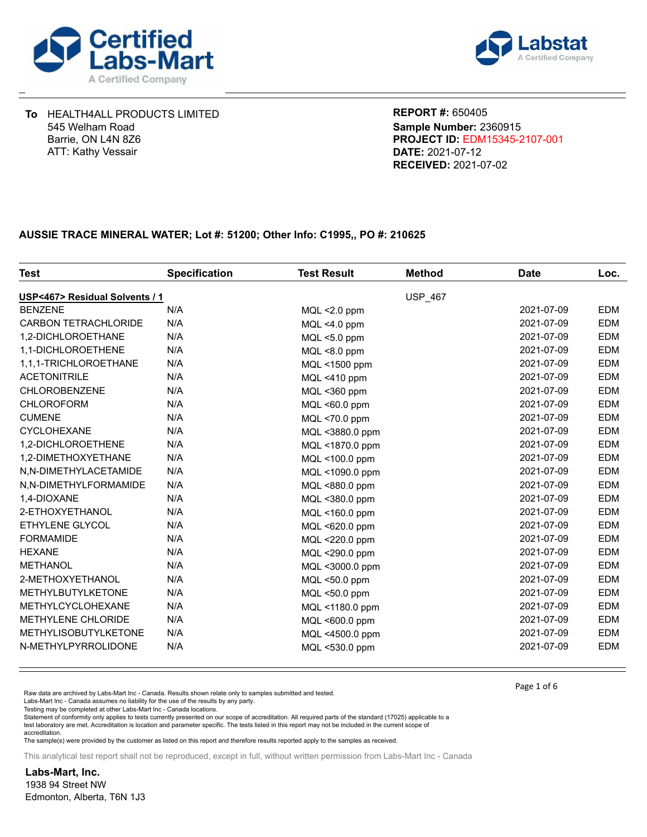



**DATE:** 2021-07-12 **PROJECT ID:** EDM15345-2107-001 **REPORT #:** 650405 **RECEIVED:** 2021-07-02 **Sample Number:** 2360915

## **AUSSIE TRACE MINERAL WATER; Lot #: 51200; Other Info: C1995,, PO #: 210625**

| Test                           | <b>Specification</b> | <b>Test Result</b> | <b>Method</b> | <b>Date</b> | Loc.       |
|--------------------------------|----------------------|--------------------|---------------|-------------|------------|
| USP<467> Residual Solvents / 1 |                      |                    | USP_467       |             |            |
| <b>BENZENE</b>                 | N/A                  | $MQL < 2.0$ ppm    |               | 2021-07-09  | <b>EDM</b> |
| <b>CARBON TETRACHLORIDE</b>    | N/A                  | $MQL < 4.0$ ppm    |               | 2021-07-09  | <b>EDM</b> |
| 1,2-DICHLOROETHANE             | N/A                  | MQL <5.0 ppm       |               | 2021-07-09  | <b>EDM</b> |
| 1,1-DICHLOROETHENE             | N/A                  | MQL <8.0 ppm       |               | 2021-07-09  | <b>EDM</b> |
| 1,1,1-TRICHLOROETHANE          | N/A                  | MQL <1500 ppm      |               | 2021-07-09  | <b>EDM</b> |
| <b>ACETONITRILE</b>            | N/A                  | MQL <410 ppm       |               | 2021-07-09  | <b>EDM</b> |
| <b>CHLOROBENZENE</b>           | N/A                  | MQL <360 ppm       |               | 2021-07-09  | <b>EDM</b> |
| <b>CHLOROFORM</b>              | N/A                  | MQL <60.0 ppm      |               | 2021-07-09  | <b>EDM</b> |
| <b>CUMENE</b>                  | N/A                  | MQL <70.0 ppm      |               | 2021-07-09  | <b>EDM</b> |
| <b>CYCLOHEXANE</b>             | N/A                  | MQL <3880.0 ppm    |               | 2021-07-09  | <b>EDM</b> |
| 1,2-DICHLOROETHENE             | N/A                  | MQL <1870.0 ppm    |               | 2021-07-09  | <b>EDM</b> |
| 1,2-DIMETHOXYETHANE            | N/A                  | MQL <100.0 ppm     |               | 2021-07-09  | <b>EDM</b> |
| N,N-DIMETHYLACETAMIDE          | N/A                  | MQL <1090.0 ppm    |               | 2021-07-09  | <b>EDM</b> |
| N,N-DIMETHYLFORMAMIDE          | N/A                  | MQL <880.0 ppm     |               | 2021-07-09  | <b>EDM</b> |
| 1,4-DIOXANE                    | N/A                  | MQL <380.0 ppm     |               | 2021-07-09  | <b>EDM</b> |
| 2-ETHOXYETHANOL                | N/A                  | MQL <160.0 ppm     |               | 2021-07-09  | <b>EDM</b> |
| <b>ETHYLENE GLYCOL</b>         | N/A                  | MQL <620.0 ppm     |               | 2021-07-09  | <b>EDM</b> |
| <b>FORMAMIDE</b>               | N/A                  | MQL <220.0 ppm     |               | 2021-07-09  | <b>EDM</b> |
| <b>HEXANE</b>                  | N/A                  | MQL <290.0 ppm     |               | 2021-07-09  | <b>EDM</b> |
| <b>METHANOL</b>                | N/A                  | MQL <3000.0 ppm    |               | 2021-07-09  | <b>EDM</b> |
| 2-METHOXYETHANOL               | N/A                  | MQL <50.0 ppm      |               | 2021-07-09  | <b>EDM</b> |
| <b>METHYLBUTYLKETONE</b>       | N/A                  | MQL <50.0 ppm      |               | 2021-07-09  | <b>EDM</b> |
| <b>METHYLCYCLOHEXANE</b>       | N/A                  | MQL <1180.0 ppm    |               | 2021-07-09  | <b>EDM</b> |
| <b>METHYLENE CHLORIDE</b>      | N/A                  | MQL <600.0 ppm     |               | 2021-07-09  | <b>EDM</b> |
| <b>METHYLISOBUTYLKETONE</b>    | N/A                  | MQL <4500.0 ppm    |               | 2021-07-09  | <b>EDM</b> |
| N-METHYLPYRROLIDONE            | N/A                  | MQL <530.0 ppm     |               | 2021-07-09  | <b>EDM</b> |

Raw data are archived by Labs-Mart Inc - Canada. Results shown relate only to samples submitted and tested.

Labs-Mart Inc - Canada assumes no liability for the use of the results by any party.

Testing may be completed at other Labs-Mart Inc - Canada locations.

Statement of conformity only applies to tests currently presented on our scope of accreditation. All required parts of the standard (17025) applicable to a test laboratory are met. Accreditation is location and parameter specific. The tests listed in this report may not be included in the current scope of accreditation.

The sample(s) were provided by the customer as listed on this report and therefore results reported apply to the samples as received.

This analytical test report shall not be reproduced, except in full, without written permission from Labs-Mart Inc - Canada

**Labs-Mart, Inc.** 1938 94 Street NW Edmonton, Alberta, T6N 1J3 Page 1 of 6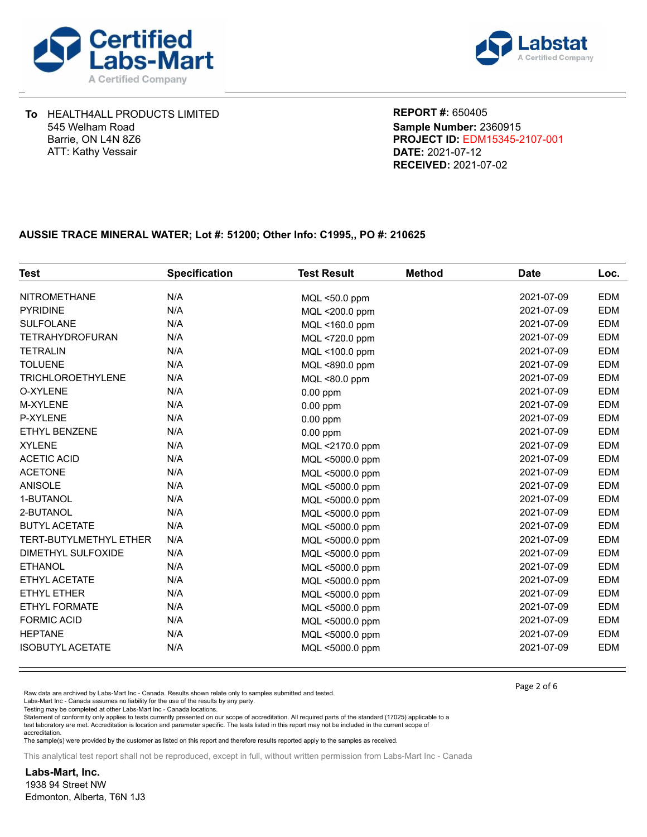



**DATE:** 2021-07-12 **PROJECT ID:** EDM15345-2107-001 **REPORT #:** 650405 **RECEIVED:** 2021-07-02 **Sample Number:** 2360915

## **AUSSIE TRACE MINERAL WATER; Lot #: 51200; Other Info: C1995,, PO #: 210625**

| <b>Test</b>                   | <b>Specification</b> | <b>Test Result</b> | <b>Method</b> | <b>Date</b> | Loc.       |
|-------------------------------|----------------------|--------------------|---------------|-------------|------------|
| <b>NITROMETHANE</b>           | N/A                  | MQL <50.0 ppm      |               | 2021-07-09  | <b>EDM</b> |
| <b>PYRIDINE</b>               | N/A                  | MQL <200.0 ppm     |               | 2021-07-09  | EDM        |
| <b>SULFOLANE</b>              | N/A                  | MQL <160.0 ppm     |               | 2021-07-09  | <b>EDM</b> |
| <b>TETRAHYDROFURAN</b>        | N/A                  | MQL <720.0 ppm     |               | 2021-07-09  | EDM        |
| <b>TETRALIN</b>               | N/A                  | MQL <100.0 ppm     |               | 2021-07-09  | <b>EDM</b> |
| <b>TOLUENE</b>                | N/A                  | MQL <890.0 ppm     |               | 2021-07-09  | <b>EDM</b> |
| <b>TRICHLOROETHYLENE</b>      | N/A                  | MQL <80.0 ppm      |               | 2021-07-09  | EDM        |
| O-XYLENE                      | N/A                  | $0.00$ ppm         |               | 2021-07-09  | EDM        |
| <b>M-XYLENE</b>               | N/A                  | $0.00$ ppm         |               | 2021-07-09  | <b>EDM</b> |
| P-XYLENE                      | N/A                  | $0.00$ ppm         |               | 2021-07-09  | <b>EDM</b> |
| ETHYL BENZENE                 | N/A                  | $0.00$ ppm         |               | 2021-07-09  | EDM        |
| <b>XYLENE</b>                 | N/A                  | MQL <2170.0 ppm    |               | 2021-07-09  | <b>EDM</b> |
| <b>ACETIC ACID</b>            | N/A                  | MQL <5000.0 ppm    |               | 2021-07-09  | EDM        |
| <b>ACETONE</b>                | N/A                  | MQL <5000.0 ppm    |               | 2021-07-09  | <b>EDM</b> |
| <b>ANISOLE</b>                | N/A                  | MQL <5000.0 ppm    |               | 2021-07-09  | EDM        |
| 1-BUTANOL                     | N/A                  | MQL <5000.0 ppm    |               | 2021-07-09  | EDM        |
| 2-BUTANOL                     | N/A                  | MQL <5000.0 ppm    |               | 2021-07-09  | <b>EDM</b> |
| <b>BUTYL ACETATE</b>          | N/A                  | MQL <5000.0 ppm    |               | 2021-07-09  | EDM        |
| <b>TERT-BUTYLMETHYL ETHER</b> | N/A                  | MQL <5000.0 ppm    |               | 2021-07-09  | EDM        |
| DIMETHYL SULFOXIDE            | N/A                  | MQL <5000.0 ppm    |               | 2021-07-09  | <b>EDM</b> |
| <b>ETHANOL</b>                | N/A                  | MQL <5000.0 ppm    |               | 2021-07-09  | EDM        |
| ETHYL ACETATE                 | N/A                  | MQL <5000.0 ppm    |               | 2021-07-09  | <b>EDM</b> |
| ETHYL ETHER                   | N/A                  | MQL <5000.0 ppm    |               | 2021-07-09  | <b>EDM</b> |
| <b>ETHYL FORMATE</b>          | N/A                  | MQL <5000.0 ppm    |               | 2021-07-09  | EDM        |
| <b>FORMIC ACID</b>            | N/A                  | MQL <5000.0 ppm    |               | 2021-07-09  | EDM        |
| <b>HEPTANE</b>                | N/A                  | MQL <5000.0 ppm    |               | 2021-07-09  | EDM        |
| <b>ISOBUTYL ACETATE</b>       | N/A                  | MQL <5000.0 ppm    |               | 2021-07-09  | EDM        |

Raw data are archived by Labs-Mart Inc - Canada. Results shown relate only to samples submitted and tested.

Labs-Mart Inc - Canada assumes no liability for the use of the results by any party.

Testing may be completed at other Labs-Mart Inc - Canada locations.

Statement of conformity only applies to tests currently presented on our scope of accreditation. All required parts of the standard (17025) applicable to a test laboratory are met. Accreditation is location and parameter specific. The tests listed in this report may not be included in the current scope of accreditation.

The sample(s) were provided by the customer as listed on this report and therefore results reported apply to the samples as received.

This analytical test report shall not be reproduced, except in full, without written permission from Labs-Mart Inc - Canada

**Labs-Mart, Inc.** 1938 94 Street NW Edmonton, Alberta, T6N 1J3 Page 2 of 6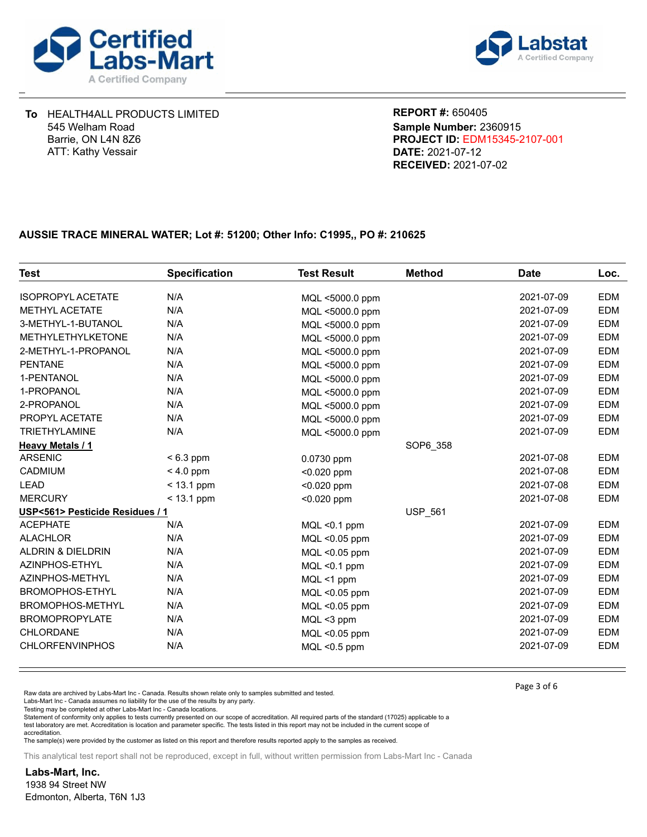



**DATE:** 2021-07-12 **PROJECT ID:** EDM15345-2107-001 **REPORT #:** 650405 **RECEIVED:** 2021-07-02 **Sample Number:** 2360915

## **AUSSIE TRACE MINERAL WATER; Lot #: 51200; Other Info: C1995,, PO #: 210625**

| <b>Test</b>                     | <b>Specification</b> | <b>Test Result</b> | <b>Method</b>  | <b>Date</b> | Loc.       |
|---------------------------------|----------------------|--------------------|----------------|-------------|------------|
| <b>ISOPROPYL ACETATE</b>        | N/A                  | MQL <5000.0 ppm    |                | 2021-07-09  | <b>EDM</b> |
| <b>METHYL ACETATE</b>           | N/A                  | MQL <5000.0 ppm    |                | 2021-07-09  | <b>EDM</b> |
| 3-METHYL-1-BUTANOL              | N/A                  | MQL <5000.0 ppm    |                | 2021-07-09  | <b>EDM</b> |
| <b>METHYLETHYLKETONE</b>        | N/A                  | MQL <5000.0 ppm    |                | 2021-07-09  | <b>EDM</b> |
| 2-METHYL-1-PROPANOL             | N/A                  | MQL <5000.0 ppm    |                | 2021-07-09  | <b>EDM</b> |
| <b>PENTANE</b>                  | N/A                  | MQL <5000.0 ppm    |                | 2021-07-09  | <b>EDM</b> |
| 1-PENTANOL                      | N/A                  | MQL <5000.0 ppm    |                | 2021-07-09  | <b>EDM</b> |
| 1-PROPANOL                      | N/A                  | MQL <5000.0 ppm    |                | 2021-07-09  | <b>EDM</b> |
| 2-PROPANOL                      | N/A                  | MQL <5000.0 ppm    |                | 2021-07-09  | <b>EDM</b> |
| PROPYL ACETATE                  | N/A                  | MQL <5000.0 ppm    |                | 2021-07-09  | <b>EDM</b> |
| <b>TRIETHYLAMINE</b>            | N/A                  | MQL <5000.0 ppm    |                | 2021-07-09  | <b>EDM</b> |
| <b>Heavy Metals / 1</b>         |                      |                    | SOP6 358       |             |            |
| <b>ARSENIC</b>                  | $< 6.3$ ppm          | $0.0730$ ppm       |                | 2021-07-08  | <b>EDM</b> |
| <b>CADMIUM</b>                  | $< 4.0$ ppm          | $< 0.020$ ppm      |                | 2021-07-08  | <b>EDM</b> |
| <b>LEAD</b>                     | $<$ 13.1 ppm         | $< 0.020$ ppm      |                | 2021-07-08  | <b>EDM</b> |
| <b>MERCURY</b>                  | $<$ 13.1 ppm         | $< 0.020$ ppm      |                | 2021-07-08  | <b>EDM</b> |
| USP<561> Pesticide Residues / 1 |                      |                    | <b>USP 561</b> |             |            |
| <b>ACEPHATE</b>                 | N/A                  | $MQL < 0.1$ ppm    |                | 2021-07-09  | <b>EDM</b> |
| <b>ALACHLOR</b>                 | N/A                  | MQL <0.05 ppm      |                | 2021-07-09  | <b>EDM</b> |
| <b>ALDRIN &amp; DIELDRIN</b>    | N/A                  | MQL <0.05 ppm      |                | 2021-07-09  | <b>EDM</b> |
| AZINPHOS-ETHYL                  | N/A                  | $MQL < 0.1$ ppm    |                | 2021-07-09  | <b>EDM</b> |
| AZINPHOS-METHYL                 | N/A                  | MQL <1 ppm         |                | 2021-07-09  | <b>EDM</b> |
| <b>BROMOPHOS-ETHYL</b>          | N/A                  | MQL <0.05 ppm      |                | 2021-07-09  | <b>EDM</b> |
| BROMOPHOS-METHYL                | N/A                  | MQL <0.05 ppm      |                | 2021-07-09  | <b>EDM</b> |
| <b>BROMOPROPYLATE</b>           | N/A                  | MQL <3 ppm         |                | 2021-07-09  | <b>EDM</b> |
| <b>CHLORDANE</b>                | N/A                  | MQL <0.05 ppm      |                | 2021-07-09  | <b>EDM</b> |
| <b>CHLORFENVINPHOS</b>          | N/A                  | $MQL < 0.5$ ppm    |                | 2021-07-09  | <b>EDM</b> |

Raw data are archived by Labs-Mart Inc - Canada. Results shown relate only to samples submitted and tested.

Labs-Mart Inc - Canada assumes no liability for the use of the results by any party.

Testing may be completed at other Labs-Mart Inc - Canada locations.

Statement of conformity only applies to tests currently presented on our scope of accreditation. All required parts of the standard (17025) applicable to a test laboratory are met. Accreditation is location and parameter specific. The tests listed in this report may not be included in the current scope of accreditation.

The sample(s) were provided by the customer as listed on this report and therefore results reported apply to the samples as received.

This analytical test report shall not be reproduced, except in full, without written permission from Labs-Mart Inc - Canada

**Labs-Mart, Inc.** 1938 94 Street NW Edmonton, Alberta, T6N 1J3 Page 3 of 6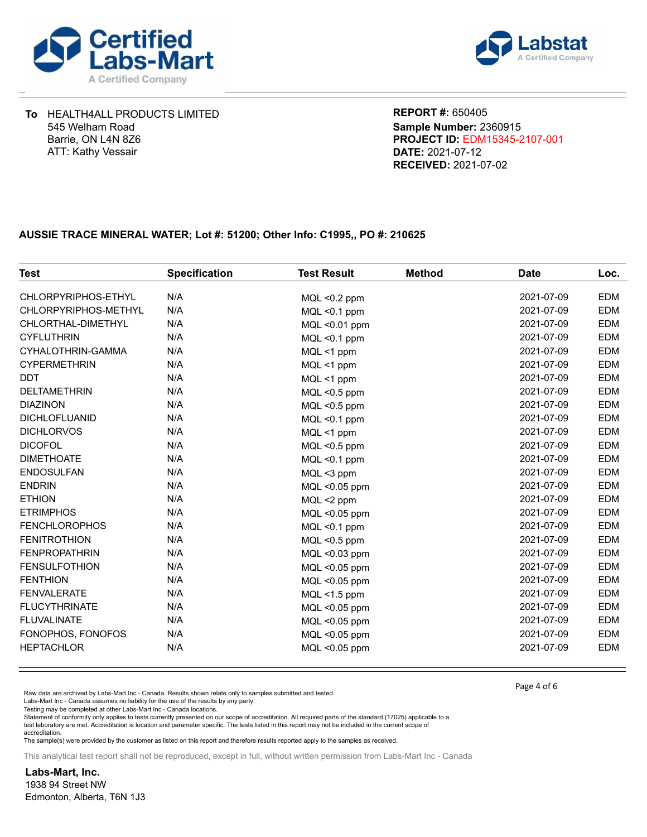



**DATE:** 2021-07-12 **PROJECT ID:** EDM15345-2107-001 **REPORT #:** 650405 **RECEIVED:** 2021-07-02 **Sample Number:** 2360915

## **AUSSIE TRACE MINERAL WATER; Lot #: 51200; Other Info: C1995,, PO #: 210625**

| <b>Test</b>          | <b>Specification</b> | <b>Test Result</b> | <b>Method</b> | <b>Date</b> | Loc.       |
|----------------------|----------------------|--------------------|---------------|-------------|------------|
| CHLORPYRIPHOS-ETHYL  | N/A                  | $MQL < 0.2$ ppm    |               | 2021-07-09  | <b>EDM</b> |
| CHLORPYRIPHOS-METHYL | N/A                  | $MQL < 0.1$ ppm    |               | 2021-07-09  | <b>EDM</b> |
| CHLORTHAL-DIMETHYL   | N/A                  | MQL <0.01 ppm      |               | 2021-07-09  | <b>EDM</b> |
| <b>CYFLUTHRIN</b>    | N/A                  | MQL <0.1 ppm       |               | 2021-07-09  | <b>EDM</b> |
| CYHALOTHRIN-GAMMA    | N/A                  | MQL <1 ppm         |               | 2021-07-09  | <b>EDM</b> |
| <b>CYPERMETHRIN</b>  | N/A                  | MQL <1 ppm         |               | 2021-07-09  | <b>EDM</b> |
| <b>DDT</b>           | N/A                  | MQL <1 ppm         |               | 2021-07-09  | <b>EDM</b> |
| <b>DELTAMETHRIN</b>  | N/A                  | MQL <0.5 ppm       |               | 2021-07-09  | <b>EDM</b> |
| <b>DIAZINON</b>      | N/A                  | $MQL < 0.5$ ppm    |               | 2021-07-09  | <b>EDM</b> |
| <b>DICHLOFLUANID</b> | N/A                  | $MQL < 0.1$ ppm    |               | 2021-07-09  | <b>EDM</b> |
| <b>DICHLORVOS</b>    | N/A                  | MQL <1 ppm         |               | 2021-07-09  | <b>EDM</b> |
| <b>DICOFOL</b>       | N/A                  | $MQL < 0.5$ ppm    |               | 2021-07-09  | <b>EDM</b> |
| <b>DIMETHOATE</b>    | N/A                  | $MQL < 0.1$ ppm    |               | 2021-07-09  | <b>EDM</b> |
| <b>ENDOSULFAN</b>    | N/A                  | MQL <3 ppm         |               | 2021-07-09  | <b>EDM</b> |
| <b>ENDRIN</b>        | N/A                  | MQL <0.05 ppm      |               | 2021-07-09  | <b>EDM</b> |
| <b>ETHION</b>        | N/A                  | MQL <2 ppm         |               | 2021-07-09  | <b>EDM</b> |
| <b>ETRIMPHOS</b>     | N/A                  | MQL <0.05 ppm      |               | 2021-07-09  | <b>EDM</b> |
| <b>FENCHLOROPHOS</b> | N/A                  | $MQL < 0.1$ ppm    |               | 2021-07-09  | <b>EDM</b> |
| <b>FENITROTHION</b>  | N/A                  | MQL <0.5 ppm       |               | 2021-07-09  | <b>EDM</b> |
| <b>FENPROPATHRIN</b> | N/A                  | MQL <0.03 ppm      |               | 2021-07-09  | <b>EDM</b> |
| <b>FENSULFOTHION</b> | N/A                  | MQL <0.05 ppm      |               | 2021-07-09  | <b>EDM</b> |
| <b>FENTHION</b>      | N/A                  | MQL <0.05 ppm      |               | 2021-07-09  | <b>EDM</b> |
| <b>FENVALERATE</b>   | N/A                  | MQL <1.5 ppm       |               | 2021-07-09  | <b>EDM</b> |
| <b>FLUCYTHRINATE</b> | N/A                  | MQL <0.05 ppm      |               | 2021-07-09  | <b>EDM</b> |
| <b>FLUVALINATE</b>   | N/A                  | MQL <0.05 ppm      |               | 2021-07-09  | <b>EDM</b> |
| FONOPHOS, FONOFOS    | N/A                  | MQL <0.05 ppm      |               | 2021-07-09  | <b>EDM</b> |
| <b>HEPTACHLOR</b>    | N/A                  | MQL <0.05 ppm      |               | 2021-07-09  | <b>EDM</b> |

Raw data are archived by Labs-Mart Inc - Canada. Results shown relate only to samples submitted and tested.

Labs-Mart Inc - Canada assumes no liability for the use of the results by any party.

Testing may be completed at other Labs-Mart Inc - Canada locations.

Statement of conformity only applies to tests currently presented on our scope of accreditation. All required parts of the standard (17025) applicable to a test laboratory are met. Accreditation is location and parameter specific. The tests listed in this report may not be included in the current scope of accreditation.

The sample(s) were provided by the customer as listed on this report and therefore results reported apply to the samples as received.

This analytical test report shall not be reproduced, except in full, without written permission from Labs-Mart Inc - Canada

**Labs-Mart, Inc.** 1938 94 Street NW Edmonton, Alberta, T6N 1J3 Page 4 of 6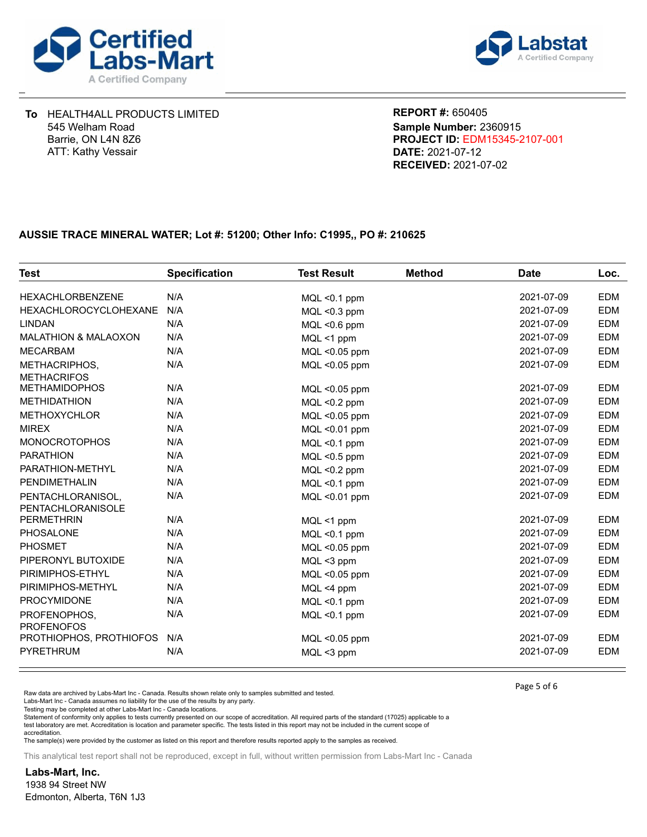



**DATE:** 2021-07-12 **PROJECT ID:** EDM15345-2107-001 **REPORT #:** 650405 **RECEIVED:** 2021-07-02 **Sample Number:** 2360915

## **AUSSIE TRACE MINERAL WATER; Lot #: 51200; Other Info: C1995,, PO #: 210625**

| <b>Test</b>                            | <b>Specification</b> | <b>Test Result</b> | <b>Method</b> | <b>Date</b> | Loc.       |
|----------------------------------------|----------------------|--------------------|---------------|-------------|------------|
| <b>HEXACHLORBENZENE</b>                | N/A                  | $MQL < 0.1$ ppm    |               | 2021-07-09  | EDM        |
| <b>HEXACHLOROCYCLOHEXANE</b>           | N/A                  | $MQL < 0.3$ ppm    |               | 2021-07-09  | EDM        |
| <b>LINDAN</b>                          | N/A                  | MQL <0.6 ppm       |               | 2021-07-09  | <b>EDM</b> |
| <b>MALATHION &amp; MALAOXON</b>        | N/A                  | MQL <1 ppm         |               | 2021-07-09  | EDM        |
| <b>MECARBAM</b>                        | N/A                  | MQL <0.05 ppm      |               | 2021-07-09  | <b>EDM</b> |
| METHACRIPHOS,<br><b>METHACRIFOS</b>    | N/A                  | $MQL < 0.05$ ppm   |               | 2021-07-09  | EDM        |
| <b>METHAMIDOPHOS</b>                   | N/A                  | MQL <0.05 ppm      |               | 2021-07-09  | <b>EDM</b> |
| <b>METHIDATHION</b>                    | N/A                  | $MQL < 0.2$ ppm    |               | 2021-07-09  | <b>EDM</b> |
| <b>METHOXYCHLOR</b>                    | N/A                  | MQL <0.05 ppm      |               | 2021-07-09  | EDM        |
| <b>MIREX</b>                           | N/A                  | $MQL < 0.01$ ppm   |               | 2021-07-09  | EDM        |
| <b>MONOCROTOPHOS</b>                   | N/A                  | $MQL < 0.1$ ppm    |               | 2021-07-09  | <b>EDM</b> |
| <b>PARATHION</b>                       | N/A                  | MQL <0.5 ppm       |               | 2021-07-09  | EDM        |
| PARATHION-METHYL                       | N/A                  | $MQL < 0.2$ ppm    |               | 2021-07-09  | <b>EDM</b> |
| PENDIMETHALIN                          | N/A                  | $MQL < 0.1$ ppm    |               | 2021-07-09  | EDM        |
| PENTACHLORANISOL,<br>PENTACHLORANISOLE | N/A                  | MQL <0.01 ppm      |               | 2021-07-09  | EDM        |
| <b>PERMETHRIN</b>                      | N/A                  | MQL <1 ppm         |               | 2021-07-09  | <b>EDM</b> |
| <b>PHOSALONE</b>                       | N/A                  | $MQL < 0.1$ ppm    |               | 2021-07-09  | <b>EDM</b> |
| <b>PHOSMET</b>                         | N/A                  | MQL <0.05 ppm      |               | 2021-07-09  | EDM        |
| PIPERONYL BUTOXIDE                     | N/A                  | MQL <3 ppm         |               | 2021-07-09  | EDM        |
| PIRIMIPHOS-ETHYL                       | N/A                  | MQL <0.05 ppm      |               | 2021-07-09  | EDM        |
| PIRIMIPHOS-METHYL                      | N/A                  | $MQL < 4$ ppm      |               | 2021-07-09  | EDM        |
| PROCYMIDONE                            | N/A                  | $MQL < 0.1$ ppm    |               | 2021-07-09  | <b>EDM</b> |
| PROFENOPHOS,<br><b>PROFENOFOS</b>      | N/A                  | $MQL < 0.1$ ppm    |               | 2021-07-09  | EDM        |
| PROTHIOPHOS, PROTHIOFOS                | N/A                  | MQL <0.05 ppm      |               | 2021-07-09  | <b>EDM</b> |
| <b>PYRETHRUM</b>                       | N/A                  | $MQL < 3$ ppm      |               | 2021-07-09  | <b>EDM</b> |

Raw data are archived by Labs-Mart Inc - Canada. Results shown relate only to samples submitted and tested.

Labs-Mart Inc - Canada assumes no liability for the use of the results by any party.

Testing may be completed at other Labs-Mart Inc - Canada locations.

Statement of conformity only applies to tests currently presented on our scope of accreditation. All required parts of the standard (17025) applicable to a test laboratory are met. Accreditation is location and parameter specific. The tests listed in this report may not be included in the current scope of accreditation.

The sample(s) were provided by the customer as listed on this report and therefore results reported apply to the samples as received.

This analytical test report shall not be reproduced, except in full, without written permission from Labs-Mart Inc - Canada

**Labs-Mart, Inc.** 1938 94 Street NW Edmonton, Alberta, T6N 1J3 Page 5 of 6